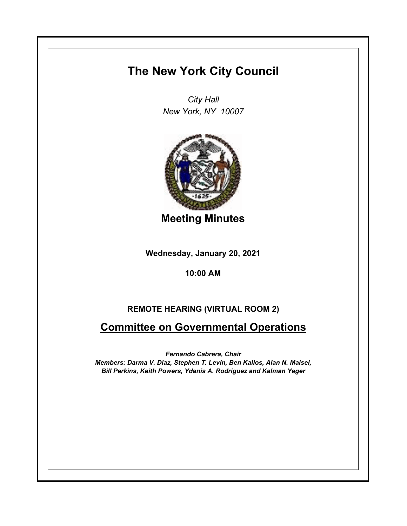## **The New York City Council**

*City Hall New York, NY 10007*



**Meeting Minutes**

**Wednesday, January 20, 2021**

## **10:00 AM**

## **REMOTE HEARING (VIRTUAL ROOM 2)**

## **Committee on Governmental Operations**

*Fernando Cabrera, Chair Members: Darma V. Diaz, Stephen T. Levin, Ben Kallos, Alan N. Maisel, Bill Perkins, Keith Powers, Ydanis A. Rodriguez and Kalman Yeger*